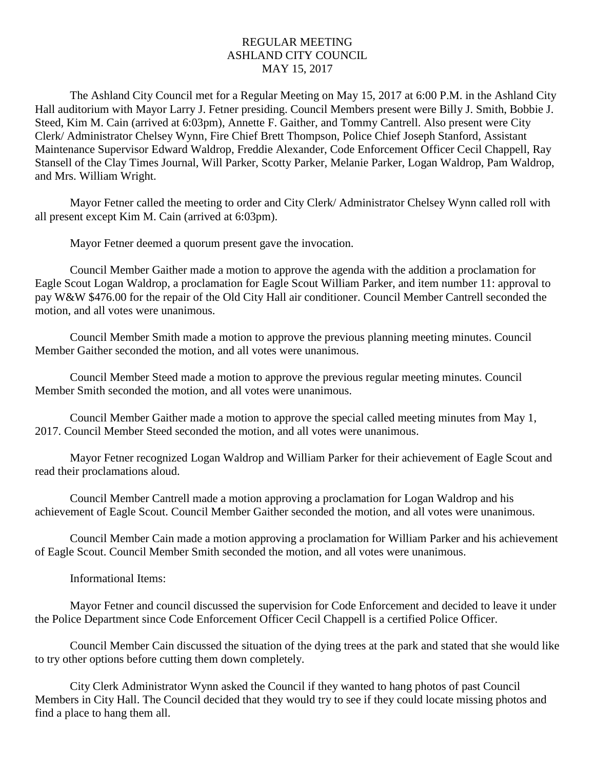## REGULAR MEETING ASHLAND CITY COUNCIL MAY 15, 2017

The Ashland City Council met for a Regular Meeting on May 15, 2017 at 6:00 P.M. in the Ashland City Hall auditorium with Mayor Larry J. Fetner presiding. Council Members present were Billy J. Smith, Bobbie J. Steed, Kim M. Cain (arrived at 6:03pm), Annette F. Gaither, and Tommy Cantrell. Also present were City Clerk/ Administrator Chelsey Wynn, Fire Chief Brett Thompson, Police Chief Joseph Stanford, Assistant Maintenance Supervisor Edward Waldrop, Freddie Alexander, Code Enforcement Officer Cecil Chappell, Ray Stansell of the Clay Times Journal, Will Parker, Scotty Parker, Melanie Parker, Logan Waldrop, Pam Waldrop, and Mrs. William Wright.

Mayor Fetner called the meeting to order and City Clerk/ Administrator Chelsey Wynn called roll with all present except Kim M. Cain (arrived at 6:03pm).

Mayor Fetner deemed a quorum present gave the invocation.

Council Member Gaither made a motion to approve the agenda with the addition a proclamation for Eagle Scout Logan Waldrop, a proclamation for Eagle Scout William Parker, and item number 11: approval to pay W&W \$476.00 for the repair of the Old City Hall air conditioner. Council Member Cantrell seconded the motion, and all votes were unanimous.

Council Member Smith made a motion to approve the previous planning meeting minutes. Council Member Gaither seconded the motion, and all votes were unanimous.

Council Member Steed made a motion to approve the previous regular meeting minutes. Council Member Smith seconded the motion, and all votes were unanimous.

Council Member Gaither made a motion to approve the special called meeting minutes from May 1, 2017. Council Member Steed seconded the motion, and all votes were unanimous.

Mayor Fetner recognized Logan Waldrop and William Parker for their achievement of Eagle Scout and read their proclamations aloud.

Council Member Cantrell made a motion approving a proclamation for Logan Waldrop and his achievement of Eagle Scout. Council Member Gaither seconded the motion, and all votes were unanimous.

Council Member Cain made a motion approving a proclamation for William Parker and his achievement of Eagle Scout. Council Member Smith seconded the motion, and all votes were unanimous.

Informational Items:

Mayor Fetner and council discussed the supervision for Code Enforcement and decided to leave it under the Police Department since Code Enforcement Officer Cecil Chappell is a certified Police Officer.

Council Member Cain discussed the situation of the dying trees at the park and stated that she would like to try other options before cutting them down completely.

City Clerk Administrator Wynn asked the Council if they wanted to hang photos of past Council Members in City Hall. The Council decided that they would try to see if they could locate missing photos and find a place to hang them all.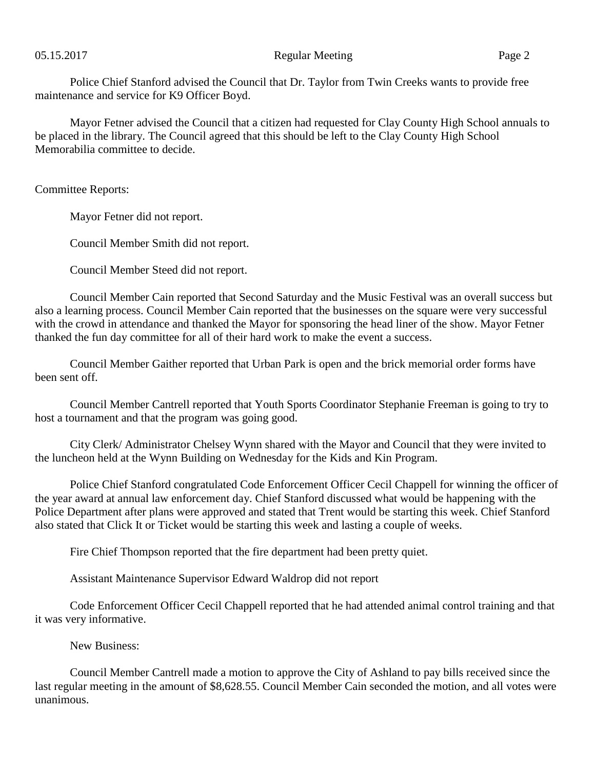Police Chief Stanford advised the Council that Dr. Taylor from Twin Creeks wants to provide free maintenance and service for K9 Officer Boyd.

Mayor Fetner advised the Council that a citizen had requested for Clay County High School annuals to be placed in the library. The Council agreed that this should be left to the Clay County High School Memorabilia committee to decide.

Committee Reports:

Mayor Fetner did not report.

Council Member Smith did not report.

Council Member Steed did not report.

Council Member Cain reported that Second Saturday and the Music Festival was an overall success but also a learning process. Council Member Cain reported that the businesses on the square were very successful with the crowd in attendance and thanked the Mayor for sponsoring the head liner of the show. Mayor Fetner thanked the fun day committee for all of their hard work to make the event a success.

Council Member Gaither reported that Urban Park is open and the brick memorial order forms have been sent off.

Council Member Cantrell reported that Youth Sports Coordinator Stephanie Freeman is going to try to host a tournament and that the program was going good.

City Clerk/ Administrator Chelsey Wynn shared with the Mayor and Council that they were invited to the luncheon held at the Wynn Building on Wednesday for the Kids and Kin Program.

Police Chief Stanford congratulated Code Enforcement Officer Cecil Chappell for winning the officer of the year award at annual law enforcement day. Chief Stanford discussed what would be happening with the Police Department after plans were approved and stated that Trent would be starting this week. Chief Stanford also stated that Click It or Ticket would be starting this week and lasting a couple of weeks.

Fire Chief Thompson reported that the fire department had been pretty quiet.

Assistant Maintenance Supervisor Edward Waldrop did not report

Code Enforcement Officer Cecil Chappell reported that he had attended animal control training and that it was very informative.

New Business:

Council Member Cantrell made a motion to approve the City of Ashland to pay bills received since the last regular meeting in the amount of \$8,628.55. Council Member Cain seconded the motion, and all votes were unanimous.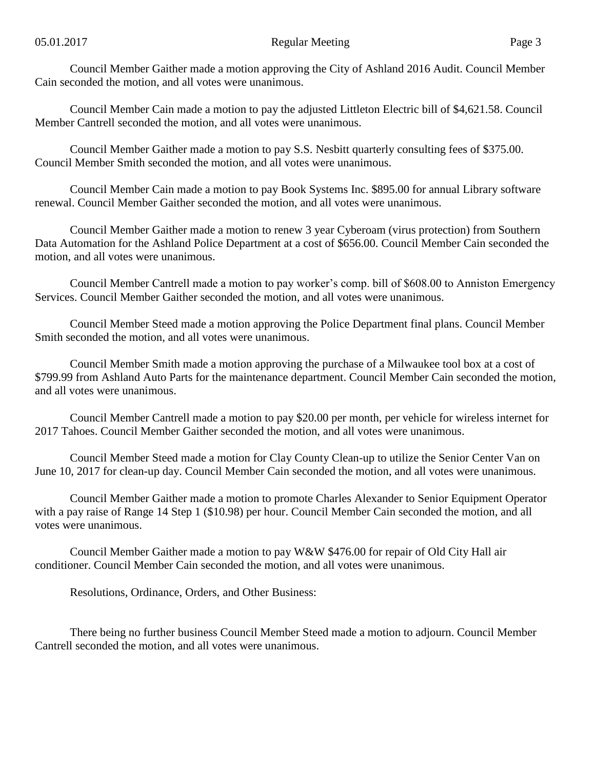Council Member Gaither made a motion approving the City of Ashland 2016 Audit. Council Member Cain seconded the motion, and all votes were unanimous.

Council Member Cain made a motion to pay the adjusted Littleton Electric bill of \$4,621.58. Council Member Cantrell seconded the motion, and all votes were unanimous.

Council Member Gaither made a motion to pay S.S. Nesbitt quarterly consulting fees of \$375.00. Council Member Smith seconded the motion, and all votes were unanimous.

Council Member Cain made a motion to pay Book Systems Inc. \$895.00 for annual Library software renewal. Council Member Gaither seconded the motion, and all votes were unanimous.

Council Member Gaither made a motion to renew 3 year Cyberoam (virus protection) from Southern Data Automation for the Ashland Police Department at a cost of \$656.00. Council Member Cain seconded the motion, and all votes were unanimous.

Council Member Cantrell made a motion to pay worker's comp. bill of \$608.00 to Anniston Emergency Services. Council Member Gaither seconded the motion, and all votes were unanimous.

Council Member Steed made a motion approving the Police Department final plans. Council Member Smith seconded the motion, and all votes were unanimous.

Council Member Smith made a motion approving the purchase of a Milwaukee tool box at a cost of \$799.99 from Ashland Auto Parts for the maintenance department. Council Member Cain seconded the motion, and all votes were unanimous.

Council Member Cantrell made a motion to pay \$20.00 per month, per vehicle for wireless internet for 2017 Tahoes. Council Member Gaither seconded the motion, and all votes were unanimous.

Council Member Steed made a motion for Clay County Clean-up to utilize the Senior Center Van on June 10, 2017 for clean-up day. Council Member Cain seconded the motion, and all votes were unanimous.

Council Member Gaither made a motion to promote Charles Alexander to Senior Equipment Operator with a pay raise of Range 14 Step 1 (\$10.98) per hour. Council Member Cain seconded the motion, and all votes were unanimous.

Council Member Gaither made a motion to pay W&W \$476.00 for repair of Old City Hall air conditioner. Council Member Cain seconded the motion, and all votes were unanimous.

Resolutions, Ordinance, Orders, and Other Business:

There being no further business Council Member Steed made a motion to adjourn. Council Member Cantrell seconded the motion, and all votes were unanimous.